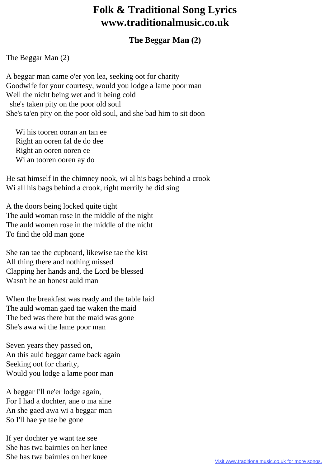## **Folk & Traditional Song Lyrics www.traditionalmusic.co.uk**

## **The Beggar Man (2)**

The Beggar Man (2)

A beggar man came o'er yon lea, seeking oot for charity Goodwife for your courtesy, would you lodge a lame poor man Well the nicht being wet and it being cold she's taken pity on the poor old soul She's ta'en pity on the poor old soul, and she bad him to sit doon

 Wi his tooren ooran an tan ee Right an ooren fal de do dee Right an ooren ooren ee Wi an tooren ooren ay do

He sat himself in the chimney nook, wi al his bags behind a crook Wi all his bags behind a crook, right merrily he did sing

A the doors being locked quite tight The auld woman rose in the middle of the night The auld women rose in the middle of the nicht To find the old man gone

She ran tae the cupboard, likewise tae the kist All thing there and nothing missed Clapping her hands and, the Lord be blessed Wasn't he an honest auld man

When the breakfast was ready and the table laid The auld woman gaed tae waken the maid The bed was there but the maid was gone She's awa wi the lame poor man

Seven years they passed on, An this auld beggar came back again Seeking oot for charity, Would you lodge a lame poor man

A beggar I'll ne'er lodge again, For I had a dochter, ane o ma aine An she gaed awa wi a beggar man So I'll hae ye tae be gone

If yer dochter ye want tae see She has twa bairnies on her knee She has twa bairnies on her knee